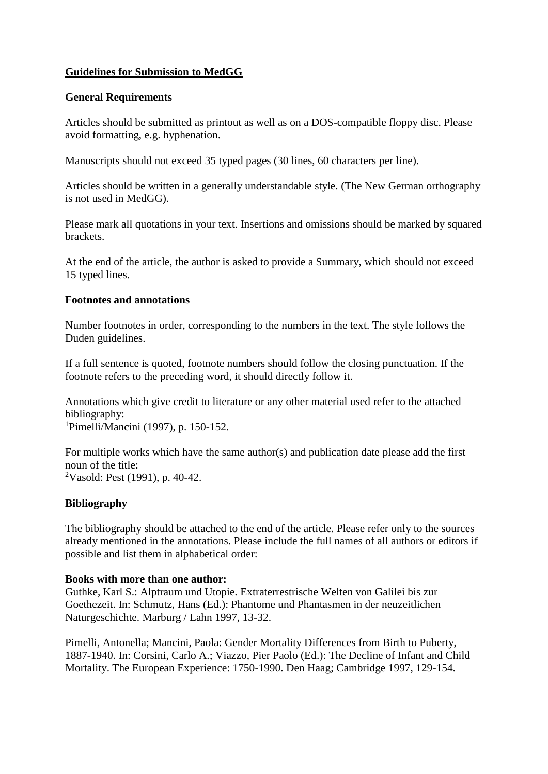# **Guidelines for Submission to MedGG**

# **General Requirements**

Articles should be submitted as printout as well as on a DOS-compatible floppy disc. Please avoid formatting, e.g. hyphenation.

Manuscripts should not exceed 35 typed pages (30 lines, 60 characters per line).

Articles should be written in a generally understandable style. (The New German orthography is not used in MedGG).

Please mark all quotations in your text. Insertions and omissions should be marked by squared brackets.

At the end of the article, the author is asked to provide a Summary, which should not exceed 15 typed lines.

# **Footnotes and annotations**

Number footnotes in order, corresponding to the numbers in the text. The style follows the Duden guidelines.

If a full sentence is quoted, footnote numbers should follow the closing punctuation. If the footnote refers to the preceding word, it should directly follow it.

Annotations which give credit to literature or any other material used refer to the attached bibliography:

<sup>1</sup>Pimelli/Mancini (1997), p. 150-152.

For multiple works which have the same author(s) and publication date please add the first noun of the title: <sup>2</sup>Vasold: Pest (1991), p. 40-42.

# **Bibliography**

The bibliography should be attached to the end of the article. Please refer only to the sources already mentioned in the annotations. Please include the full names of all authors or editors if possible and list them in alphabetical order:

## **Books with more than one author:**

Guthke, Karl S.: Alptraum und Utopie. Extraterrestrische Welten von Galilei bis zur Goethezeit. In: Schmutz, Hans (Ed.): Phantome und Phantasmen in der neuzeitlichen Naturgeschichte. Marburg / Lahn 1997, 13-32.

Pimelli, Antonella; Mancini, Paola: Gender Mortality Differences from Birth to Puberty, 1887-1940. In: Corsini, Carlo A.; Viazzo, Pier Paolo (Ed.): The Decline of Infant and Child Mortality. The European Experience: 1750-1990. Den Haag; Cambridge 1997, 129-154.